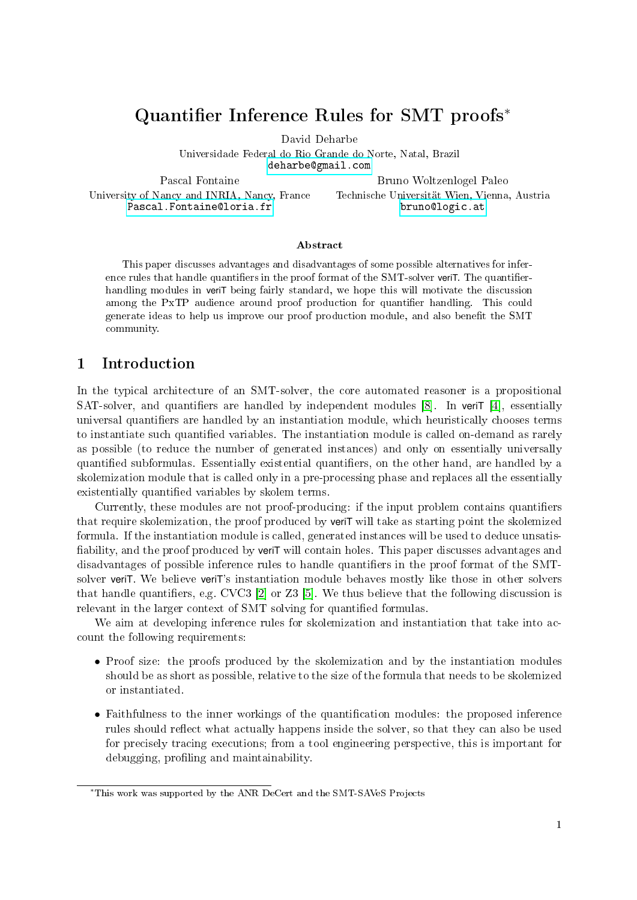# Quantifier Inference Rules for SMT proofs<sup>\*</sup>

David Deharbe

Universidade Federal do Rio Grande do Norte, Natal, Brazil <deharbe@gmail.com>

Pascal Fontaine University of Nancy and INRIA, Nancy, France <Pascal.Fontaine@loria.fr>

Bruno Woltzenlogel Paleo Technische Universität Wien, Vienna, Austria <bruno@logic.at>

#### Abstract

This paper discusses advantages and disadvantages of some possible alternatives for inference rules that handle quantifiers in the proof format of the SMT-solver veriT. The quantifierhandling modules in veriT being fairly standard, we hope this will motivate the discussion among the PxTP audience around proof production for quantifier handling. This could generate ideas to help us improve our proof production module, and also benefit the SMT community.

## 1 Introduction

In the typical architecture of an SMT-solver, the core automated reasoner is a propositional SAT-solver, and quantifiers are handled by independent modules  $[8]$ . In verit  $[4]$ , essentially universal quantifiers are handled by an instantiation module, which heuristically chooses terms to instantiate such quantified variables. The instantiation module is called on-demand as rarely as possible (to reduce the number of generated instances) and only on essentially universally quantified subformulas. Essentially existential quantifiers, on the other hand, are handled by a skolemization module that is called only in a pre-processing phase and replaces all the essentially existentially quantified variables by skolem terms.

Currently, these modules are not proof-producing: if the input problem contains quantifiers that require skolemization, the proof produced by veriT will take as starting point the skolemized formula. If the instantiation module is called, generated instances will be used to deduce unsatis fiability, and the proof produced by veriT will contain holes. This paper discusses advantages and disadvantages of possible inference rules to handle quantifiers in the proof format of the SMTsolver veriT. We believe veriT's instantiation module behaves mostly like those in other solvers that handle quantifiers, e.g. CVC3 [\[2\]](#page-6-2) or Z3 [\[5\]](#page-6-3). We thus believe that the following discussion is relevant in the larger context of SMT solving for quantified formulas.

We aim at developing inference rules for skolemization and instantiation that take into account the following requirements:

- Proof size: the proofs produced by the skolemization and by the instantiation modules should be as short as possible, relative to the size of the formula that needs to be skolemized or instantiated.
- Faithfulness to the inner workings of the quantification modules: the proposed inference rules should reflect what actually happens inside the solver, so that they can also be used for precisely tracing executions; from a tool engineering perspective, this is important for debugging, profiling and maintainability.

<sup>∗</sup>This work was supported by the ANR DeCert and the SMT-SAVeS Projects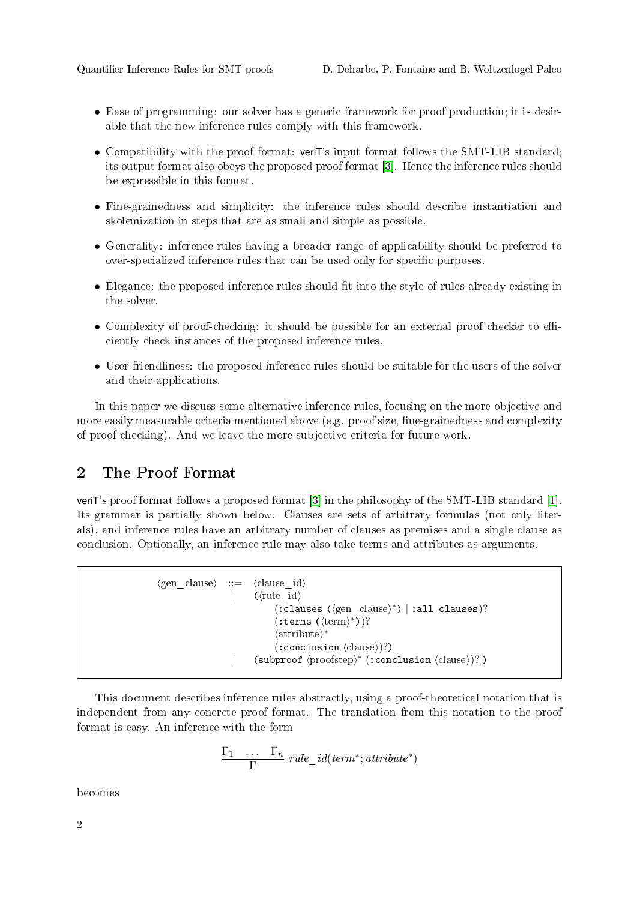- Ease of programming: our solver has a generic framework for proof production; it is desirable that the new inference rules comply with this framework.
- Compatibility with the proof format: veriT's input format follows the SMT-LIB standard; its output format also obeys the proposed proof format [\[3\]](#page-6-4). Hence the inference rules should be expressible in this format.
- Fine-grainedness and simplicity: the inference rules should describe instantiation and skolemization in steps that are as small and simple as possible.
- Generality: inference rules having a broader range of applicability should be preferred to over-specialized inference rules that can be used only for specific purposes.
- Elegance: the proposed inference rules should fit into the style of rules already existing in the solver.
- Complexity of proof-checking: it should be possible for an external proof checker to efficiently check instances of the proposed inference rules.
- User-friendliness: the proposed inference rules should be suitable for the users of the solver and their applications.

In this paper we discuss some alternative inference rules, focusing on the more objective and more easily measurable criteria mentioned above (e.g. proof size, fine-grainedness and complexity of proof-checking). And we leave the more subjective criteria for future work.

### 2 The Proof Format

veriT's proof format follows a proposed format [\[3\]](#page-6-4) in the philosophy of the SMT-LIB standard [\[1\]](#page-6-5). Its grammar is partially shown below. Clauses are sets of arbitrary formulas (not only literals), and inference rules have an arbitrary number of clauses as premises and a single clause as conclusion. Optionally, an inference rule may also take terms and attributes as arguments.

```
\langle \text{gen \; clause} \rangle ::= \langle \text{clause} \; \text{id} \rangle(\langle \text{rule}~\text{id} \rangle(: clauses (\langlegen clause\rangle^*) | :all-clauses)?
                                      (\text{terms } (\langle \text{term} \rangle^*))?
                                      \langleattribute\rangle^*(\text{:conclusion } \langle \text{clause} \rangle)?| (subproof \proofstep)<sup>*</sup> (:conclusion \clause))?)
```
This document describes inference rules abstractly, using a proof-theoretical notation that is independent from any concrete proof format. The translation from this notation to the proof format is easy. An inference with the form

$$
\frac{\Gamma_1 \cdots \Gamma_n}{\Gamma} \ rule\_id(term^*; attribute^*)
$$

becomes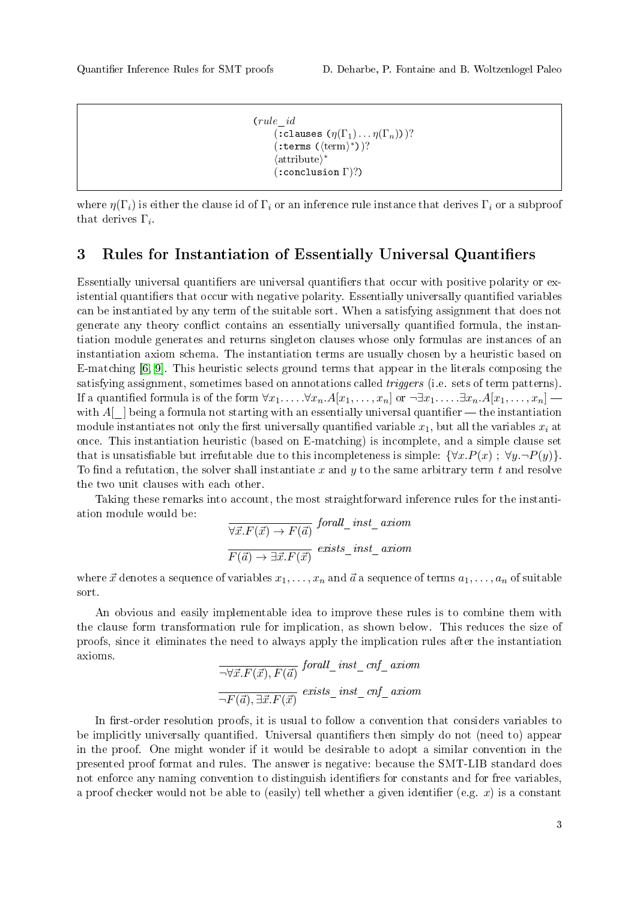```
(rule_id
(:clauses (\eta(\Gamma_1)\dots\eta(\Gamma_n)))?
(\text{terms } (\langle \text{term} \rangle^*))?
\langleattribute\rangle^*(:conclusion Γ)?)
```
where  $\eta(\Gamma_i)$  is either the clause id of  $\Gamma_i$  or an inference rule instance that derives  $\Gamma_i$  or a subproof that derives  $\Gamma_i$ .

#### 3 Rules for Instantiation of Essentially Universal Quantifiers

Essentially universal quantifiers are universal quantifiers that occur with positive polarity or existential quantifiers that occur with negative polarity. Essentially universally quantified variables can be instantiated by any term of the suitable sort. When a satisfying assignment that does not generate any theory conflict contains an essentially universally quantified formula, the instantiation module generates and returns singleton clauses whose only formulas are instances of an instantiation axiom schema. The instantiation terms are usually chosen by a heuristic based on E-matching [\[6,](#page-6-6) [9\]](#page-6-7). This heuristic selects ground terms that appear in the literals composing the satisfying assignment, sometimes based on annotations called triggers (i.e. sets of term patterns). If a quantified formula is of the form  $\forall x_1, \ldots, \forall x_n. A[x_1, \ldots, x_n]$  or  $\neg \exists x_1, \ldots, \exists x_n. A[x_1, \ldots, x_n]$ with  $A[\_]$  being a formula not starting with an essentially universal quantifier  $\_\_$  the instantiation module instantiates not only the first universally quantified variable  $x_1$ , but all the variables  $x_i$  at once. This instantiation heuristic (based on E-matching) is incomplete, and a simple clause set that is unsatisfiable but irrefutable due to this incompleteness is simple:  $\{\forall x.P(x) ; \forall y.\neg P(y)\}.$ To find a refutation, the solver shall instantiate x and y to the same arbitrary term t and resolve the two unit clauses with each other.

Taking these remarks into account, the most straightforward inference rules for the instantiation module would be:  $\epsilon$  in the latter  $\epsilon$ 

$$
\frac{\nabla \vec{x}. F(\vec{x}) \to F(\vec{a})}{F(\vec{a}) \to \exists \vec{x}. F(\vec{x})} \stackrel{for all\_inst\_axiom}{\text{exists\_inst\_axiom}}
$$

where  $\vec{x}$  denotes a sequence of variables  $x_1, \ldots, x_n$  and  $\vec{a}$  a sequence of terms  $a_1, \ldots, a_n$  of suitable sort.

An obvious and easily implementable idea to improve these rules is to combine them with the clause form transformation rule for implication, as shown below. This reduces the size of proofs, since it eliminates the need to always apply the implication rules after the instantiation axioms.

$$
\frac{\overline{\neg \forall \vec{x}. F(\vec{x}), F(\vec{a})} \quad \text{for all\_inst\_cnf\_axiom}}{\neg F(\vec{a}), \exists \vec{x}. F(\vec{x})} \quad \text{exists\_inst\_cnf\_axiom}
$$

In first-order resolution proofs, it is usual to follow a convention that considers variables to be implicitly universally quantified. Universal quantifiers then simply do not (need to) appear in the proof. One might wonder if it would be desirable to adopt a similar convention in the presented proof format and rules. The answer is negative: because the SMT-LIB standard does not enforce any naming convention to distinguish identifiers for constants and for free variables. a proof checker would not be able to (easily) tell whether a given identifier (e.g.  $x$ ) is a constant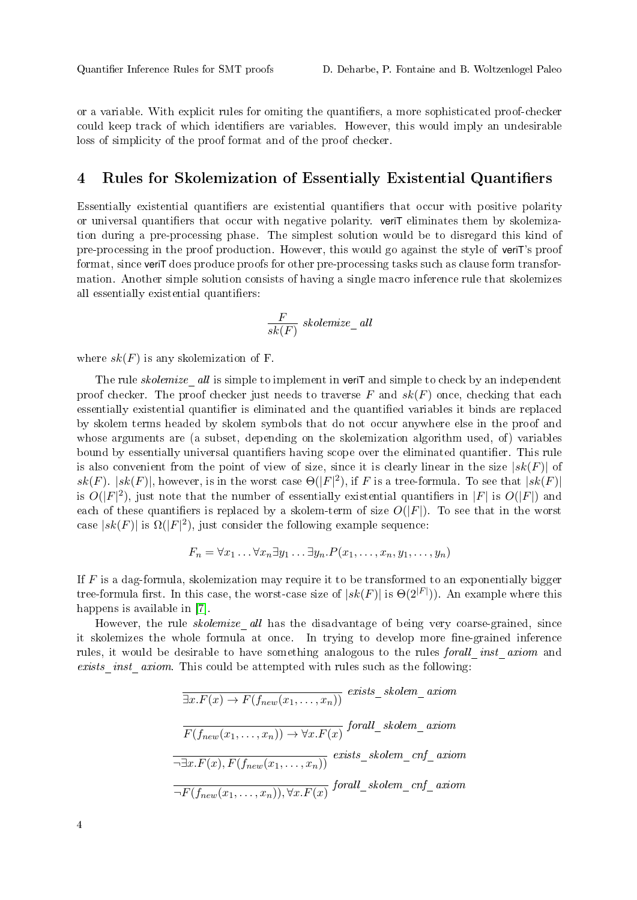or a variable. With explicit rules for omiting the quantifiers, a more sophisticated proof-checker could keep track of which identifiers are variables. However, this would imply an undesirable loss of simplicity of the proof format and of the proof checker.

#### 4 Rules for Skolemization of Essentially Existential Quantifiers

Essentially existential quantifiers are existential quantifiers that occur with positive polarity or universal quantifiers that occur with negative polarity. veriT eliminates them by skolemization during a pre-processing phase. The simplest solution would be to disregard this kind of pre-processing in the proof production. However, this would go against the style of veriT's proof format, since veriT does produce proofs for other pre-processing tasks such as clause form transformation. Another simple solution consists of having a single macro inference rule that skolemizes all essentially existential quantifiers:

$$
\frac{F}{sk(F)}\;skolemize\_all
$$

where  $sk(F)$  is any skolemization of F.

The rule *skolemize* all is simple to implement in veriT and simple to check by an independent proof checker. The proof checker just needs to traverse  $F$  and  $sk(F)$  once, checking that each essentially existential quantifier is eliminated and the quantified variables it binds are replaced by skolem terms headed by skolem symbols that do not occur anywhere else in the proof and whose arguments are (a subset, depending on the skolemization algorithm used, of) variables bound by essentially universal quantifiers having scope over the eliminated quantifier. This rule is also convenient from the point of view of size, since it is clearly linear in the size  $|sk(F)|$  of sk(F).  $|sk(F)|$ , however, is in the worst case  $\Theta(|F|^2)$ , if F is a tree-formula. To see that  $|sk(F)|$ is  $O(|F|^2)$ , just note that the number of essentially existential quantifiers in |F| is  $O(|F|)$  and each of these quantifiers is replaced by a skolem-term of size  $O(|F|)$ . To see that in the worst case  $|sk(F)|$  is  $\Omega(|F|^2)$ , just consider the following example sequence:

$$
F_n = \forall x_1 \dots \forall x_n \exists y_1 \dots \exists y_n \dots P(x_1, \dots, x_n, y_1, \dots, y_n)
$$

If  $F$  is a dag-formula, skolemization may require it to be transformed to an exponentially bigger tree-formula first. In this case, the worst-case size of  $|sk(F)|$  is  $\Theta(2^{|F|})$ ). An example where this happens is available in [\[7\]](#page-6-8).

However, the rule *skolemize* all has the disadvantage of being very coarse-grained, since it skolemizes the whole formula at once. In trying to develop more fine-grained inference rules, it would be desirable to have something analogous to the rules forall inst axiom and exists inst axiom. This could be attempted with rules such as the following:

$$
\overline{\exists x. F(x) \to F(f_{new}(x_1, \dots, x_n))} \quad exists\_skolem\_axiom
$$
\n
$$
\overline{F(f_{new}(x_1, \dots, x_n)) \to \forall x. F(x)} \quad for all\_skolem\_axiom
$$
\n
$$
\overline{\neg \exists x. F(x), F(f_{new}(x_1, \dots, x_n))} \quad exists\_skolem\_cnf\_axiom
$$
\n
$$
\overline{\neg F(f_{new}(x_1, \dots, x_n)), \forall x. F(x)} \quad for all\_skolem\_cnf\_axiom
$$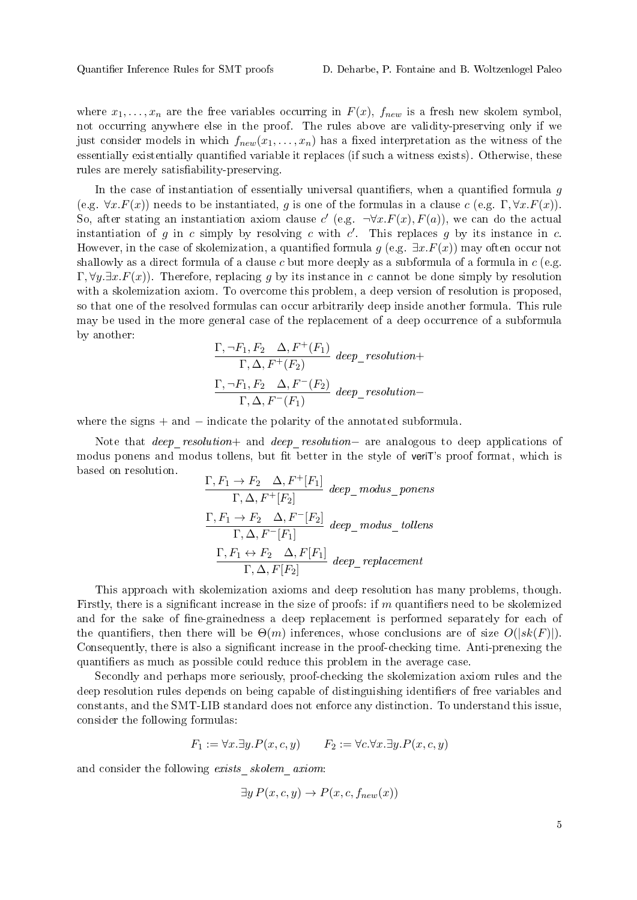where  $x_1, \ldots, x_n$  are the free variables occurring in  $F(x)$ ,  $f_{new}$  is a fresh new skolem symbol, not occurring anywhere else in the proof. The rules above are validity-preserving only if we just consider models in which  $f_{new}(x_1, \ldots, x_n)$  has a fixed interpretation as the witness of the essentially existentially quantied variable it replaces (if such a witness exists). Otherwise, these rules are merely satisfiability-preserving.

In the case of instantiation of essentially universal quantifiers, when a quantified formula  $g$ (e.g.  $\forall x.F(x)$ ) needs to be instantiated, g is one of the formulas in a clause c (e.g.  $\Gamma$ ,  $\forall x.F(x)$ ). So, after stating an instantiation axiom clause c' (e.g.  $\neg \forall x . F(x), F(a)$ ), we can do the actual instantiation of  $g$  in  $c$  simply by resolving  $c$  with  $c'$ . This replaces  $g$  by its instance in  $c$ . However, in the case of skolemization, a quantified formula g (e.g.  $\exists x.F(x)$ ) may often occur not shallowly as a direct formula of a clause c but more deeply as a subformula of a formula in  $c$  (e.g.  $\Gamma, \forall y \exists x . F(x)$ . Therefore, replacing q by its instance in c cannot be done simply by resolution with a skolemization axiom. To overcome this problem, a deep version of resolution is proposed, so that one of the resolved formulas can occur arbitrarily deep inside another formula. This rule may be used in the more general case of the replacement of a deep occurrence of a subformula by another:

$$
\frac{\Gamma, \neg F_1, F_2 \quad \Delta, F^+(F_1)}{\Gamma, \Delta, F^+(F_2)} \text{ deep\_resolution+}
$$
\n
$$
\frac{\Gamma, \neg F_1, F_2 \quad \Delta, F^-(F_2)}{\Gamma, \Delta, F^-(F_1)} \text{ deep\_resolution-}
$$

where the signs  $+$  and  $-$  indicate the polarity of the annotated subformula.

Note that deep\_resolution+ and deep\_resolution− are analogous to deep applications of modus ponens and modus tollens, but fit better in the style of veriT's proof format, which is based on resolution.

$$
\frac{\Gamma, F_1 \to F_2 \quad \Delta, F^+[F_1]}{\Gamma, \Delta, F^+[F_2]} \text{ deep\_modus\_ponents}
$$
\n
$$
\frac{\Gamma, F_1 \to F_2 \quad \Delta, F^-[F_2]}{\Gamma, \Delta, F^-[F_1]} \text{ deep\_modus\_tollens}
$$
\n
$$
\frac{\Gamma, F_1 \leftrightarrow F_2 \quad \Delta, F[F_1]}{\Gamma, \Delta, F[F_2]} \text{ deep\_replacement}
$$

This approach with skolemization axioms and deep resolution has many problems, though. Firstly, there is a significant increase in the size of proofs: if  $m$  quantifiers need to be skolemized and for the sake of fine-grainedness a deep replacement is performed separately for each of the quantifiers, then there will be  $\Theta(m)$  inferences, whose conclusions are of size  $O(|sk(F)|)$ . Consequently, there is also a significant increase in the proof-checking time. Anti-prenexing the quantifiers as much as possible could reduce this problem in the average case.

Secondly and perhaps more seriously, proof-checking the skolemization axiom rules and the deep resolution rules depends on being capable of distinguishing identifiers of free variables and constants, and the SMT-LIB standard does not enforce any distinction. To understand this issue, consider the following formulas:

$$
F_1 := \forall x. \exists y. P(x, c, y) \qquad F_2 := \forall c. \forall x. \exists y. P(x, c, y)
$$

and consider the following exists\_skolem\_axiom:

$$
\exists y P(x, c, y) \rightarrow P(x, c, f_{new}(x))
$$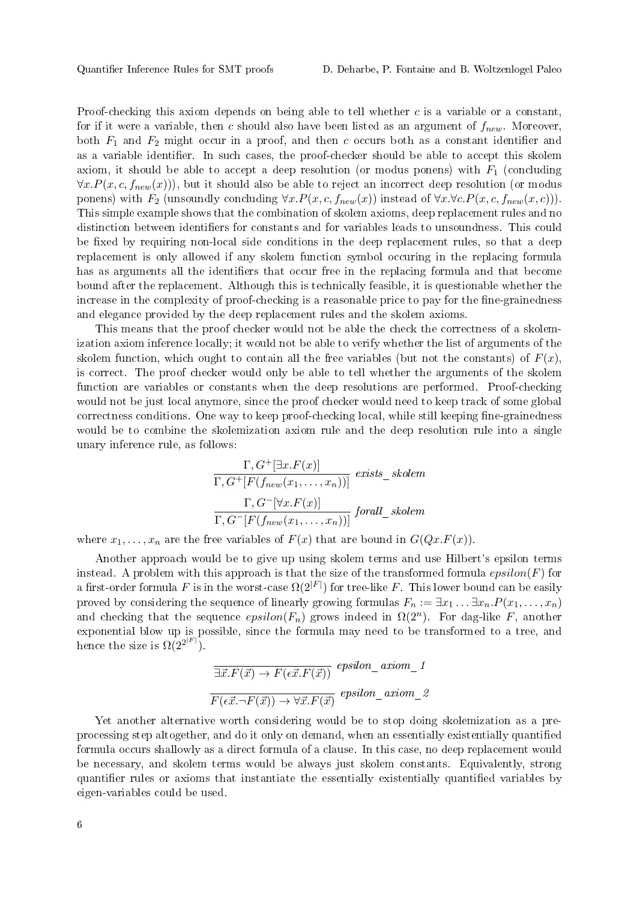Proof-checking this axiom depends on being able to tell whether  $c$  is a variable or a constant. for if it were a variable, then c should also have been listed as an argument of  $f_{new}$ . Moreover both  $F_1$  and  $F_2$  might occur in a proof, and then c occurs both as a constant identifier and as a variable identifier. In such cases, the proof-checker should be able to accept this skolem axiom, it should be able to accept a deep resolution (or modus ponens) with  $F_1$  (concluding  $\forall x.P(x, c, f_{new}(x))$ , but it should also be able to reject an incorrect deep resolution (or modus ponens) with  $F_2$  (unsoundly concluding  $\forall x.P(x, c, f_{new}(x))$  instead of  $\forall x.\forall c.P(x, c, f_{new}(x, c))$ ). This simple example shows that the combination of skolem axioms, deep replacement rules and no distinction between identifiers for constants and for variables leads to unsoundness. This could be fixed by requiring non-local side conditions in the deep replacement rules, so that a deep replacement is only allowed if any skolem function symbol occuring in the replacing formula has as arguments all the identifiers that occur free in the replacing formula and that become bound after the replacement. Although this is technically feasible, it is questionable whether the increase in the complexity of proof-checking is a reasonable price to pay for the fine-grainedness and elegance provided by the deep replacement rules and the skolem axioms.

This means that the proof checker would not be able the check the correctness of a skolemization axiom inference locally; it would not be able to verify whether the list of arguments of the skolem function, which ought to contain all the free variables (but not the constants) of  $F(x)$ . is correct. The proof checker would only be able to tell whether the arguments of the skolem function are variables or constants when the deep resolutions are performed. Proof-checking would not be just local anymore, since the proof checker would need to keep track of some global correctness conditions. One way to keep proof-checking local, while still keeping fine-grainedness would be to combine the skolemization axiom rule and the deep resolution rule into a single unary inference rule, as follows:

$$
\frac{\Gamma, G^{+}[\exists x. F(x)]}{\Gamma, G^{+}[F(f_{new}(x_1, ..., x_n))]}
$$
 exists\_s  
solem  

$$
\frac{\Gamma, G^{-}[\forall x. F(x)]}{\Gamma, G^{-}[F(f_{new}(x_1, ..., x_n))]}
$$
 forall\_s  
solem

where  $x_1, \ldots, x_n$  are the free variables of  $F(x)$  that are bound in  $G(Qx.F(x))$ .

Another approach would be to give up using skolem terms and use Hilbert's epsilon terms instead. A problem with this approach is that the size of the transformed formula  $epsilon(F)$  for a first-order formula  $F$  is in the worst-case  $\Omega(2^{|F|})$  for tree-like  $F.$  This lower bound can be easily proved by considering the sequence of linearly growing formulas  $F_n := \exists x_1 \dots \exists x_n P(x_1, \dots, x_n)$ and checking that the sequence  $epsilon(F_n)$  grows indeed in  $\Omega(2^n)$ . For dag-like F, another exponential blow up is possible, since the formula may need to be transformed to a tree, and hence the size is  $\Omega(2^{2^{|F|}})$ .

$$
\overline{\exists \vec{x}. F(\vec{x}) \to F(\epsilon \vec{x}. F(\vec{x}))} \overset{epsilon}{\to} \underset{F(\epsilon \vec{x}. \neg F(\vec{x})) \to \forall \vec{x}. F(\vec{x})}{\longrightarrow} \underset{e}{\text{psilon} \times \text{min}} \underset{F(\epsilon \vec{x}. \neg F(\vec{x})) \to \forall \vec{x}. F(\vec{x})}{\longrightarrow} \underset{e}{\text{epsilon} \times \text{min}} \underset{e}{\text{min}} \underset{F(\epsilon \vec{x}. \neg F(\vec{x})) \to \forall \vec{x}. F(\vec{x})}{\longrightarrow} \overline{\text{epsilon} \times \text{min}} \overset{e}{\to} \overline{\text{min}} \overset{e}{\to} \overline{\text{min}} \overset{e}{\to} \overline{\text{min}} \overset{e}{\to} \overline{\text{min}} \overset{e}{\to} \overline{\text{min}} \overset{e}{\to} \overline{\text{min}} \overset{e}{\to} \overline{\text{min}} \overset{e}{\to} \overline{\text{min}} \overset{e}{\to} \overline{\text{min}} \overset{e}{\to} \overline{\text{min}} \overset{e}{\to} \overline{\text{min}} \overset{e}{\to} \overline{\text{min}} \overset{e}{\to} \overline{\text{min}} \overset{e}{\to} \overline{\text{min}} \overset{e}{\to} \overline{\text{min}} \overset{e}{\to} \overline{\text{min}} \overset{e}{\to} \overline{\text{min}} \overset{e}{\to} \overline{\text{min}} \overset{e}{\to} \overline{\text{min}} \overset{e}{\to} \overline{\text{min}} \overset{e}{\to} \overline{\text{min}} \overset{e}{\to} \overline{\text{min}} \overset{e}{\to} \overline{\text{min}} \overset{e}{\to} \overline{\text{min}} \overset{e}{\to} \overline{\text{min}} \overset{e}{\to} \overline{\text{min}} \overset{e}{\to} \overline{\text{min}} \overset{e}{\to} \overline{\text{min}} \overset{e}{\to} \overline{\text{min}} \overset{e}{\to} \overline{\text{min}} \overset{e}{\to} \overline{\text{min}} \overset{e}{\to} \overline{\text{min}} \overset{e}{\to} \over
$$

Yet another alternative worth considering would be to stop doing skolemization as a preprocessing step altogether, and do it only on demand, when an essentially existentially quantied formula occurs shallowly as a direct formula of a clause. In this case, no deep replacement would be necessary, and skolem terms would be always just skolem constants. Equivalently, strong quantifier rules or axioms that instantiate the essentially existentially quantified variables by eigen-variables could be used.